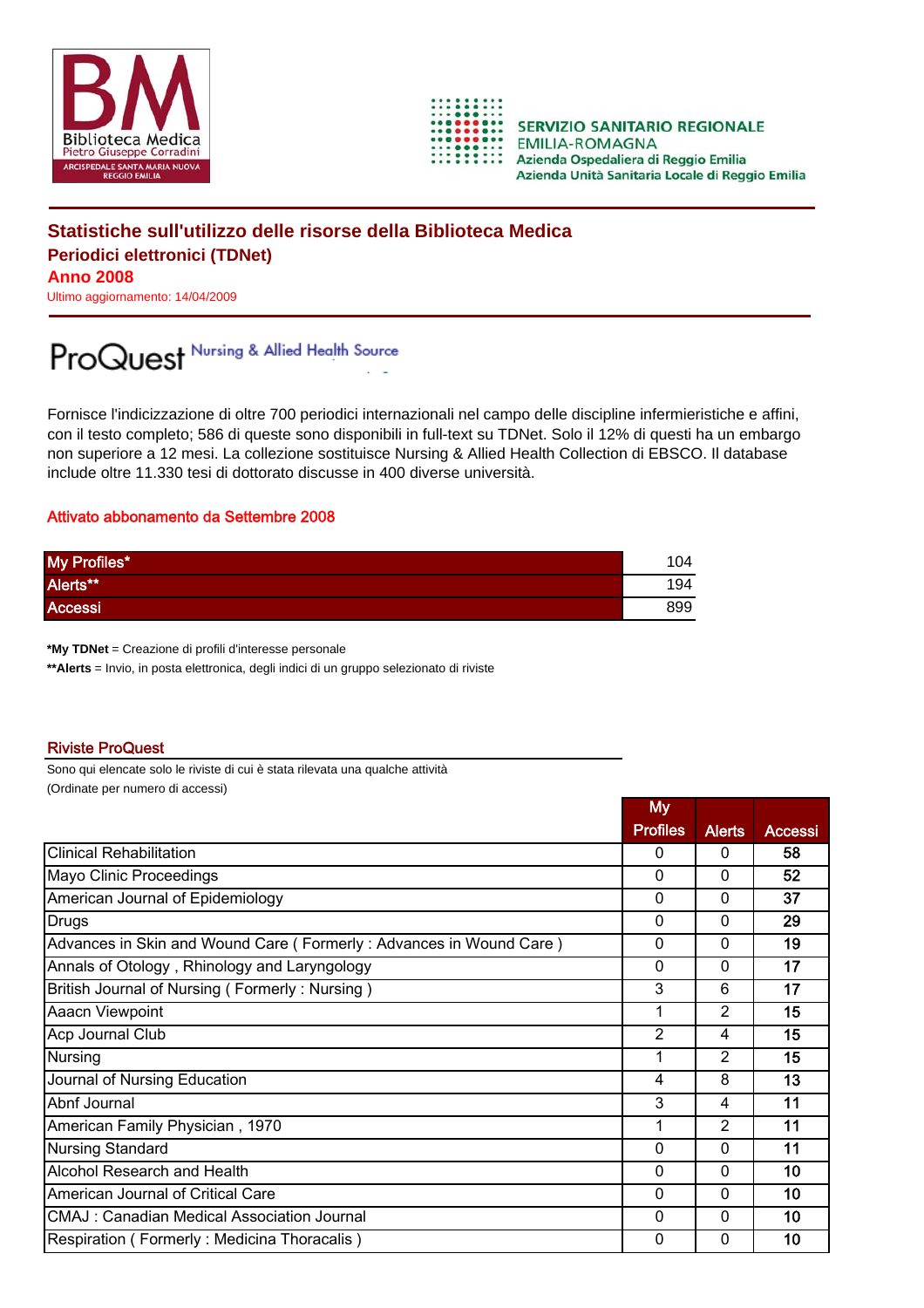



**SERVIZIO SANITARIO REGIONALE EMILIA-ROMAGNA** Azienda Ospedaliera di Reggio Emilia Azienda Unità Sanitaria Locale di Reggio Emilia

## **Statistiche sull'utilizzo delle risorse della Biblioteca Medica Periodici elettronici (TDNet) Anno 2008**

Ultimo aggiornamento: 14/04/2009

## ProQuest Nursing & Allied Health Source

Fornisce l'indicizzazione di oltre 700 periodici internazionali nel campo delle discipline infermieristiche e affini, con il testo completo; 586 di queste sono disponibili in full-text su TDNet. Solo il 12% di questi ha un embargo non superiore a 12 mesi. La collezione sostituisce Nursing & Allied Health Collection di EBSCO. Il database include oltre 11.330 tesi di dottorato discusse in 400 diverse università.

## Attivato abbonamento da Settembre 2008

| My Profiles*   | 104 |
|----------------|-----|
| Alerts**       | 194 |
| <b>Accessi</b> | 899 |

**\*My TDNet** = Creazione di profili d'interesse personale

**\*\*Alerts** = Invio, in posta elettronica, degli indici di un gruppo selezionato di riviste

## Riviste ProQuest

Sono qui elencate solo le riviste di cui è stata rilevata una qualche attività (Ordinate per numero di accessi)

|                                                                    | <b>My</b>       |                |                |
|--------------------------------------------------------------------|-----------------|----------------|----------------|
|                                                                    | <b>Profiles</b> | <b>Alerts</b>  | <b>Accessi</b> |
| <b>Clinical Rehabilitation</b>                                     | $\Omega$        | $\Omega$       | 58             |
| Mayo Clinic Proceedings                                            | $\Omega$        | $\Omega$       | 52             |
| American Journal of Epidemiology                                   | 0               | 0              | 37             |
| <b>Drugs</b>                                                       | $\mathbf 0$     | $\Omega$       | 29             |
| Advances in Skin and Wound Care (Formerly: Advances in Wound Care) | $\Omega$        | $\Omega$       | 19             |
| Annals of Otology, Rhinology and Laryngology                       | $\mathbf{0}$    | $\Omega$       | 17             |
| British Journal of Nursing (Formerly: Nursing)                     | 3               | 6              | 17             |
| Aaacn Viewpoint                                                    | 1               | $\overline{2}$ | 15             |
| Acp Journal Club                                                   | $\overline{2}$  | 4              | 15             |
| Nursing                                                            | 1               | $\mathfrak{p}$ | 15             |
| Journal of Nursing Education                                       | 4               | 8              | 13             |
| Abnf Journal                                                       | 3               | 4              | 11             |
| American Family Physician, 1970                                    | 1               | $\mathfrak{p}$ | 11             |
| <b>Nursing Standard</b>                                            | $\mathbf 0$     | $\Omega$       | 11             |
| Alcohol Research and Health                                        | $\Omega$        | $\Omega$       | 10             |
| American Journal of Critical Care                                  | 0               | $\Omega$       | 10             |
| <b>CMAJ: Canadian Medical Association Journal</b>                  | $\Omega$        | $\Omega$       | 10             |
| Respiration (Formerly: Medicina Thoracalis)                        | $\Omega$        | 0              | 10             |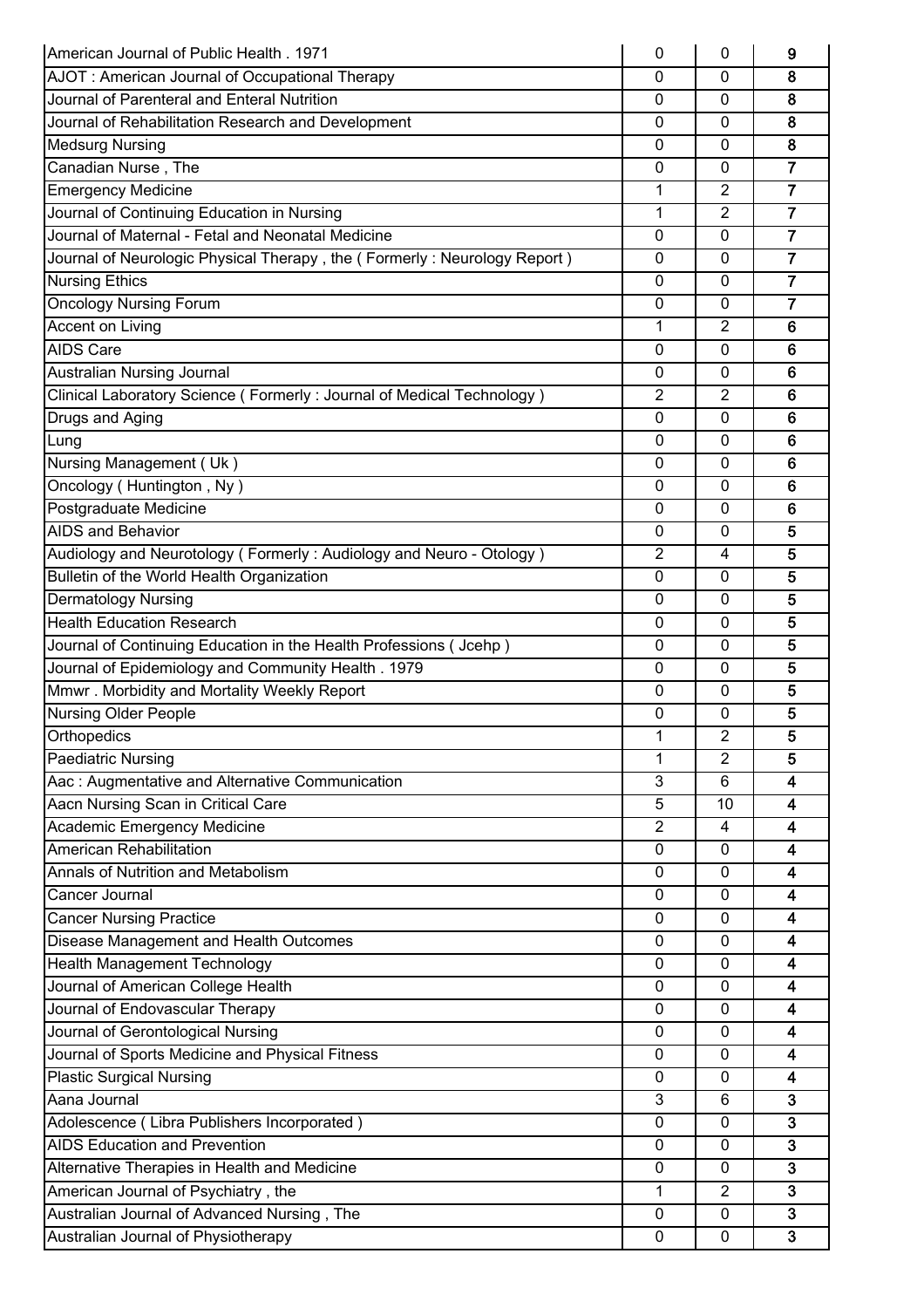| American Journal of Public Health, 1971                                  | 0              | 0                | 9                       |
|--------------------------------------------------------------------------|----------------|------------------|-------------------------|
| AJOT: American Journal of Occupational Therapy                           | 0              | 0                | 8                       |
| Journal of Parenteral and Enteral Nutrition                              | 0              | 0                | 8                       |
| Journal of Rehabilitation Research and Development                       | 0              | $\mathbf 0$      | 8                       |
| <b>Medsurg Nursing</b>                                                   | 0              | 0                | 8                       |
| Canadian Nurse, The                                                      | 0              | 0                | $\overline{\mathbf{7}}$ |
| <b>Emergency Medicine</b>                                                | $\mathbf 1$    | 2                | $\overline{7}$          |
| Journal of Continuing Education in Nursing                               | 1              | $\overline{2}$   | $\overline{7}$          |
| Journal of Maternal - Fetal and Neonatal Medicine                        | 0              | $\mathbf 0$      | $\overline{7}$          |
| Journal of Neurologic Physical Therapy, the (Formerly: Neurology Report) | 0              | 0                | $\overline{7}$          |
| <b>Nursing Ethics</b>                                                    | 0              | $\mathbf{0}$     | $\overline{7}$          |
| <b>Oncology Nursing Forum</b>                                            | 0              | $\mathbf{0}$     | $\overline{7}$          |
| Accent on Living                                                         | 1              | $\overline{2}$   | 6                       |
| <b>AIDS Care</b>                                                         | 0              | $\Omega$         | 6                       |
| Australian Nursing Journal                                               | 0              | 0                | 6                       |
| Clinical Laboratory Science (Formerly: Journal of Medical Technology)    | $\overline{2}$ | 2                | 6                       |
| Drugs and Aging                                                          | $\mathbf{0}$   | 0                | $6\phantom{1}6$         |
| Lung                                                                     | $\mathbf{0}$   | $\Omega$         | 6                       |
| Nursing Management (Uk)                                                  | 0              | 0                | 6                       |
| Oncology (Huntington, Ny)                                                | 0              | $\mathbf{0}$     | 6                       |
| Postgraduate Medicine                                                    | 0              | 0                | $6\phantom{1}6$         |
| <b>AIDS and Behavior</b>                                                 | $\mathbf{0}$   | $\Omega$         | 5                       |
| Audiology and Neurotology (Formerly: Audiology and Neuro - Otology)      | $\overline{2}$ | 4                | 5                       |
| Bulletin of the World Health Organization                                | 0              | 0                | 5                       |
|                                                                          |                |                  | 5                       |
| <b>Dermatology Nursing</b><br><b>Health Education Research</b>           | 0              | 0                |                         |
|                                                                          | $\mathbf{0}$   | $\mathbf{0}$     | 5                       |
| Journal of Continuing Education in the Health Professions (Jcehp)        | $\mathbf{0}$   | 0                | 5                       |
| Journal of Epidemiology and Community Health. 1979                       | 0              | 0                | 5                       |
| Mmwr. Morbidity and Mortality Weekly Report                              | 0              | $\mathbf{0}$     | 5                       |
| <b>Nursing Older People</b>                                              | 0              | 0                | 5                       |
| Orthopedics                                                              | 1              | $\boldsymbol{2}$ | 5                       |
| <b>Paediatric Nursing</b>                                                | 1              | $\overline{2}$   | 5                       |
| Aac: Augmentative and Alternative Communication                          | 3              | 6                | $\overline{\mathbf{4}}$ |
| Aacn Nursing Scan in Critical Care                                       | 5              | 10               | 4                       |
| Academic Emergency Medicine                                              | $\overline{2}$ | 4                | 4                       |
| American Rehabilitation                                                  | 0              | $\mathbf{0}$     | 4                       |
| Annals of Nutrition and Metabolism                                       | 0              | 0                | 4                       |
| Cancer Journal                                                           | $\mathbf{0}$   | $\mathbf 0$      | 4                       |
| <b>Cancer Nursing Practice</b>                                           | 0              | $\mathbf{0}$     | 4                       |
| Disease Management and Health Outcomes                                   | 0              | $\Omega$         | 4                       |
| Health Management Technology                                             | 0              | 0                | 4                       |
| Journal of American College Health                                       | 0              | $\mathbf 0$      | 4                       |
| Journal of Endovascular Therapy                                          | $\mathbf{0}$   | $\mathbf{0}$     | 4                       |
| Journal of Gerontological Nursing                                        | 0              | 0                | 4                       |
| Journal of Sports Medicine and Physical Fitness                          | 0              | 0                | 4                       |
| <b>Plastic Surgical Nursing</b>                                          | 0              | 0                | 4                       |
| Aana Journal                                                             | 3              | 6                | 3                       |
| Adolescence (Libra Publishers Incorporated)                              | 0              | 0                | 3                       |
| <b>AIDS Education and Prevention</b>                                     | 0              | $\mathbf{0}$     | 3                       |
| Alternative Therapies in Health and Medicine                             | 0              | $\mathbf{0}$     | $\mathbf{3}$            |
| American Journal of Psychiatry, the                                      | $\mathbf{1}$   | $\overline{2}$   | 3                       |
| Australian Journal of Advanced Nursing, The                              | 0              | $\mathbf{0}$     | 3                       |
| Australian Journal of Physiotherapy                                      | 0              | 0                | 3                       |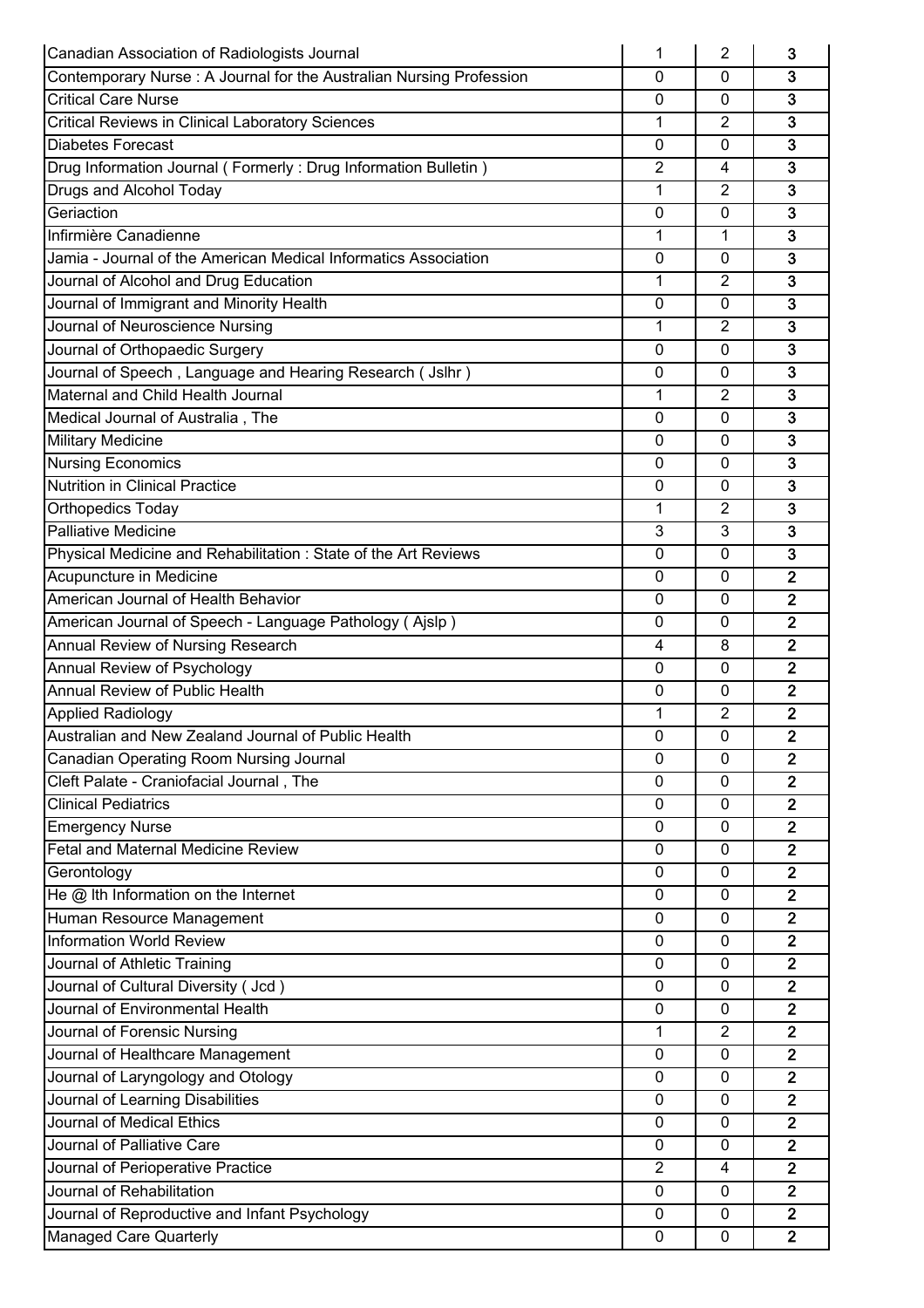| Canadian Association of Radiologists Journal                        | 1              | 2              | 3                       |
|---------------------------------------------------------------------|----------------|----------------|-------------------------|
| Contemporary Nurse: A Journal for the Australian Nursing Profession | $\Omega$       | 0              | 3                       |
| <b>Critical Care Nurse</b>                                          | 0              | 0              | $\overline{3}$          |
| <b>Critical Reviews in Clinical Laboratory Sciences</b>             | 1              | $\overline{2}$ | $\overline{3}$          |
| <b>Diabetes Forecast</b>                                            | $\mathbf 0$    | 0              | $\overline{3}$          |
| Drug Information Journal (Formerly: Drug Information Bulletin)      | $\overline{2}$ | 4              | 3                       |
| Drugs and Alcohol Today                                             | 1              | $\overline{2}$ | $\mathbf{3}$            |
| Geriaction                                                          | 0              | 0              | $\overline{3}$          |
| Infirmière Canadienne                                               | 1              | 1              | 3                       |
| Jamia - Journal of the American Medical Informatics Association     | 0              | 0              | $\mathbf{3}$            |
| Journal of Alcohol and Drug Education                               | 1              | 2              | 3                       |
| Journal of Immigrant and Minority Health                            | 0              | $\mathbf{0}$   | $\overline{\mathbf{3}}$ |
| Journal of Neuroscience Nursing                                     | $\mathbf 1$    | $\overline{2}$ | $\overline{3}$          |
| Journal of Orthopaedic Surgery                                      | 0              | $\mathbf{0}$   | 3                       |
| Journal of Speech, Language and Hearing Research (Jslhr)            | 0              | 0              | 3                       |
| Maternal and Child Health Journal                                   | 1              | $\overline{2}$ | 3                       |
| Medical Journal of Australia, The                                   | 0              | 0              | $\overline{\mathbf{3}}$ |
| <b>Military Medicine</b>                                            | $\mathbf{0}$   | $\Omega$       | $\overline{\mathbf{3}}$ |
| Nursing Economics                                                   | 0              | 0              | $\overline{3}$          |
| <b>Nutrition in Clinical Practice</b>                               | 0              | 0              | $\overline{3}$          |
| <b>Orthopedics Today</b>                                            | $\mathbf 1$    | 2              | $\overline{3}$          |
| <b>Palliative Medicine</b>                                          | 3              | 3              | $\overline{3}$          |
| Physical Medicine and Rehabilitation: State of the Art Reviews      | 0              | 0              | $\overline{3}$          |
| Acupuncture in Medicine                                             | 0              | 0              | $\overline{2}$          |
| American Journal of Health Behavior                                 | 0              | $\mathbf{0}$   | $\overline{2}$          |
| American Journal of Speech - Language Pathology (Ajslp)             | 0              | $\mathbf{0}$   | $\overline{2}$          |
| Annual Review of Nursing Research                                   | 4              | 8              | $\overline{2}$          |
| Annual Review of Psychology                                         | 0              | 0              | $\mathbf{2}$            |
| <b>Annual Review of Public Health</b>                               | 0              | $\mathbf{0}$   | $\mathbf{2}$            |
| <b>Applied Radiology</b>                                            | 1              | $\overline{2}$ | $\overline{2}$          |
| Australian and New Zealand Journal of Public Health                 | 0              | $\mathbf{0}$   | $\overline{2}$          |
| Canadian Operating Room Nursing Journal                             | 0              | $\mathbf 0$    | $\overline{2}$          |
| Cleft Palate - Craniofacial Journal, The                            | 0              | $\mathbf 0$    | $\overline{2}$          |
| <b>Clinical Pediatrics</b>                                          | $\Omega$       | $\Omega$       | $\overline{2}$          |
| <b>Emergency Nurse</b>                                              | $\mathbf{0}$   | 0              | $\overline{2}$          |
| <b>Fetal and Maternal Medicine Review</b>                           | 0              | $\mathbf{0}$   | $\overline{2}$          |
| Gerontology                                                         | 0              | $\mathbf{0}$   | $\overline{2}$          |
| He @ Ith Information on the Internet                                | $\mathbf{0}$   | $\mathbf 0$    | $\overline{2}$          |
| Human Resource Management                                           | $\mathbf{0}$   | $\mathbf 0$    | $\overline{2}$          |
| Information World Review                                            |                |                | $\overline{2}$          |
| Journal of Athletic Training                                        | 0              | 0              | $\overline{2}$          |
|                                                                     | 0              | 0              | $\overline{2}$          |
| Journal of Cultural Diversity (Jcd)                                 | $\pmb{0}$      | 0              | $\overline{2}$          |
| Journal of Environmental Health                                     | 0              | $\mathbf 0$    |                         |
| Journal of Forensic Nursing                                         | $\mathbf{1}$   | 2              | $\overline{2}$          |
| Journal of Healthcare Management                                    | 0              | 0              | $\overline{2}$          |
| Journal of Laryngology and Otology                                  | 0              | 0              | $\overline{2}$          |
| Journal of Learning Disabilities                                    | $\mathbf 0$    | $\mathbf 0$    | $\overline{2}$          |
| Journal of Medical Ethics                                           | 0              | $\mathbf{0}$   | $\overline{2}$          |
| Journal of Palliative Care                                          | 0              | 0              | $\overline{2}$          |
| Journal of Perioperative Practice                                   | $\overline{2}$ | 4              | $\overline{2}$          |
| Journal of Rehabilitation                                           | 0              | $\mathbf{0}$   | $\overline{2}$          |
| Journal of Reproductive and Infant Psychology                       | 0              | $\mathbf 0$    | $\overline{2}$          |
| <b>Managed Care Quarterly</b>                                       | 0              | 0              | $\overline{2}$          |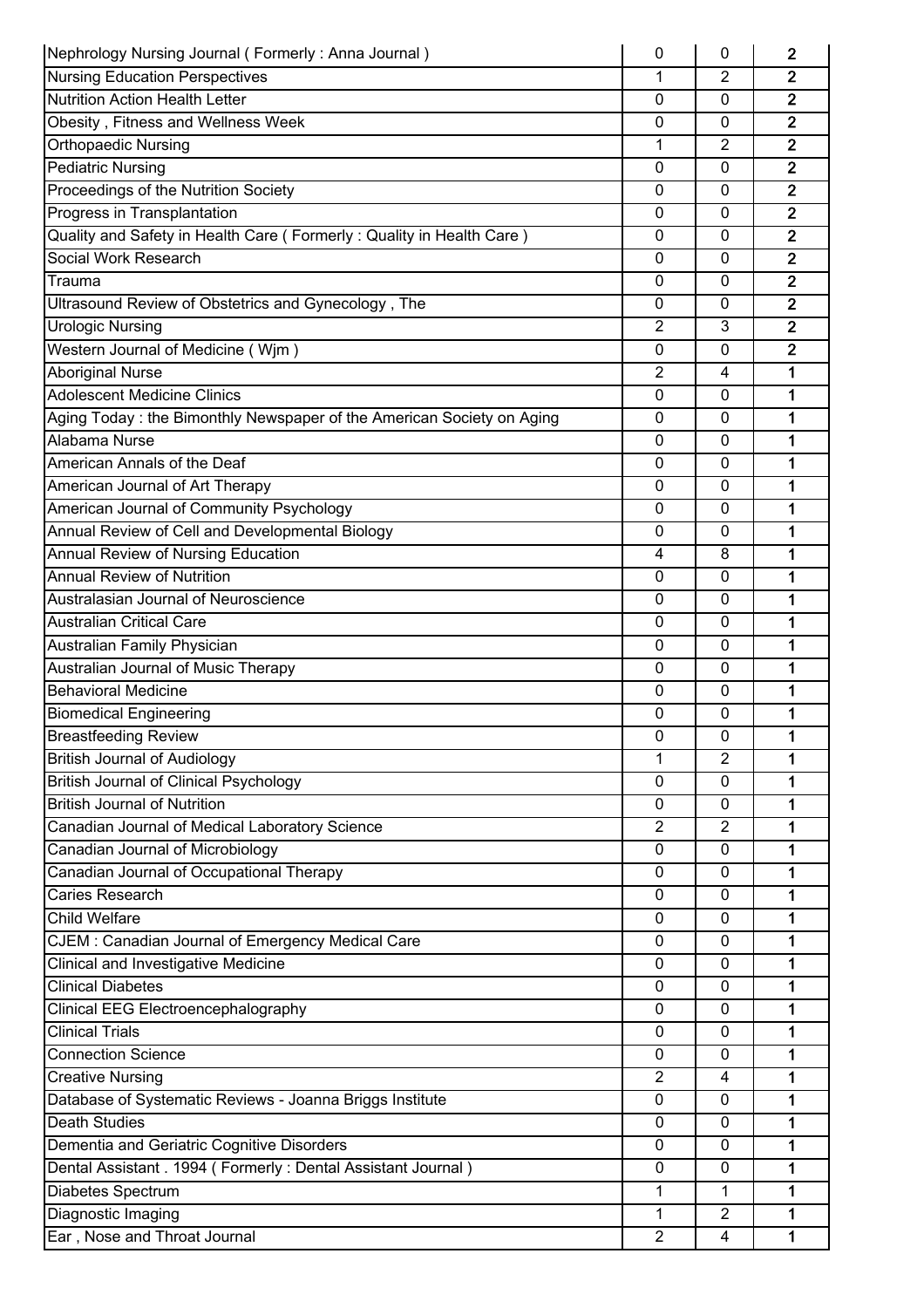| Nephrology Nursing Journal (Formerly: Anna Journal)                   | 0              | 0              | $\overline{2}$ |
|-----------------------------------------------------------------------|----------------|----------------|----------------|
| <b>Nursing Education Perspectives</b>                                 | 1              | $\overline{2}$ | $\overline{2}$ |
| Nutrition Action Health Letter                                        | 0              | 0              | $\overline{2}$ |
| Obesity, Fitness and Wellness Week                                    | $\mathbf 0$    | $\Omega$       | $\overline{2}$ |
| <b>Orthopaedic Nursing</b>                                            | 1              | 2              | $\overline{2}$ |
| <b>Pediatric Nursing</b>                                              | 0              | $\mathbf{0}$   | $\overline{2}$ |
| Proceedings of the Nutrition Society                                  | 0              | $\mathbf{0}$   | $\overline{2}$ |
| Progress in Transplantation                                           | $\mathbf 0$    | 0              | $\overline{2}$ |
| Quality and Safety in Health Care (Formerly: Quality in Health Care)  | 0              | $\mathbf{0}$   | $\overline{2}$ |
| Social Work Research                                                  | 0              | 0              | $\overline{2}$ |
| Trauma                                                                | $\mathbf 0$    | $\mathbf 0$    | $\overline{2}$ |
| Ultrasound Review of Obstetrics and Gynecology, The                   | 0              | 0              | $\overline{2}$ |
| <b>Urologic Nursing</b>                                               | $\overline{2}$ | 3              | $\overline{2}$ |
| Western Journal of Medicine (Wjm)                                     | 0              | $\mathbf{0}$   | $\overline{2}$ |
| <b>Aboriginal Nurse</b>                                               | 2              | 4              | 1              |
| <b>Adolescent Medicine Clinics</b>                                    | 0              | $\mathbf 0$    | 1              |
| Aging Today: the Bimonthly Newspaper of the American Society on Aging | $\mathbf 0$    | $\mathbf 0$    | 1              |
| Alabama Nurse                                                         | $\mathbf 0$    | $\mathbf{0}$   | 1              |
| American Annals of the Deaf                                           | 0              | $\mathbf{0}$   | 1              |
| American Journal of Art Therapy                                       | $\mathbf 0$    | 0              | 1              |
| American Journal of Community Psychology                              | 0              | 0              | 1              |
| Annual Review of Cell and Developmental Biology                       | 0              | 0              | 1              |
| Annual Review of Nursing Education                                    | 4              | 8              | 1              |
| <b>Annual Review of Nutrition</b>                                     | 0              | $\mathbf{0}$   | 1              |
| Australasian Journal of Neuroscience                                  | 0              | $\mathbf{0}$   | 1              |
| <b>Australian Critical Care</b>                                       | 0              | 0              | 1              |
| Australian Family Physician                                           | 0              | $\mathbf{0}$   | 1              |
| Australian Journal of Music Therapy                                   | 0              | 0              | 1              |
| <b>Behavioral Medicine</b>                                            | $\mathbf 0$    | $\Omega$       | 1              |
| <b>Biomedical Engineering</b>                                         | 0              | $\mathbf 0$    | 1              |
| <b>Breastfeeding Review</b>                                           | 0              | 0              | 1              |
| <b>British Journal of Audiology</b>                                   | 1              | $\overline{2}$ | 1              |
| <b>British Journal of Clinical Psychology</b>                         | 0              | 0              | 1              |
| <b>British Journal of Nutrition</b>                                   | 0              | $\mathbf{0}$   | 1              |
| Canadian Journal of Medical Laboratory Science                        | 2              | $\overline{2}$ | 1              |
| Canadian Journal of Microbiology                                      | 0              | $\mathbf{0}$   | 1              |
| Canadian Journal of Occupational Therapy                              | 0              | 0              | 1              |
| Caries Research                                                       | $\mathbf 0$    | $\mathbf 0$    | 1              |
| <b>Child Welfare</b>                                                  | 0              | $\mathbf 0$    | 1              |
| CJEM: Canadian Journal of Emergency Medical Care                      | $\mathbf 0$    | $\mathbf{0}$   | 1              |
| <b>Clinical and Investigative Medicine</b>                            | 0              | 0              | 1              |
| <b>Clinical Diabetes</b>                                              | 0              | $\mathbf 0$    | 1              |
| Clinical EEG Electroencephalography                                   | 0              | $\mathbf{0}$   | 1              |
| <b>Clinical Trials</b>                                                | 0              | 0              | 1              |
| <b>Connection Science</b>                                             | 0              | $\mathbf 0$    | 1              |
| <b>Creative Nursing</b>                                               | $\overline{2}$ | 4              | 1              |
| Database of Systematic Reviews - Joanna Briggs Institute              | $\mathbf 0$    | $\mathbf{0}$   | 1              |
| <b>Death Studies</b>                                                  | 0              | $\mathbf{0}$   | 1              |
| Dementia and Geriatric Cognitive Disorders                            | 0              | $\mathbf{0}$   | 1              |
| Dental Assistant . 1994 (Formerly: Dental Assistant Journal)          | 0              | $\mathbf{0}$   | 1              |
| Diabetes Spectrum                                                     | 1              | 1              | 1              |
| Diagnostic Imaging                                                    | 1              | $\overline{2}$ | 1              |
| Ear, Nose and Throat Journal                                          | $\overline{2}$ | 4              | $\mathbf 1$    |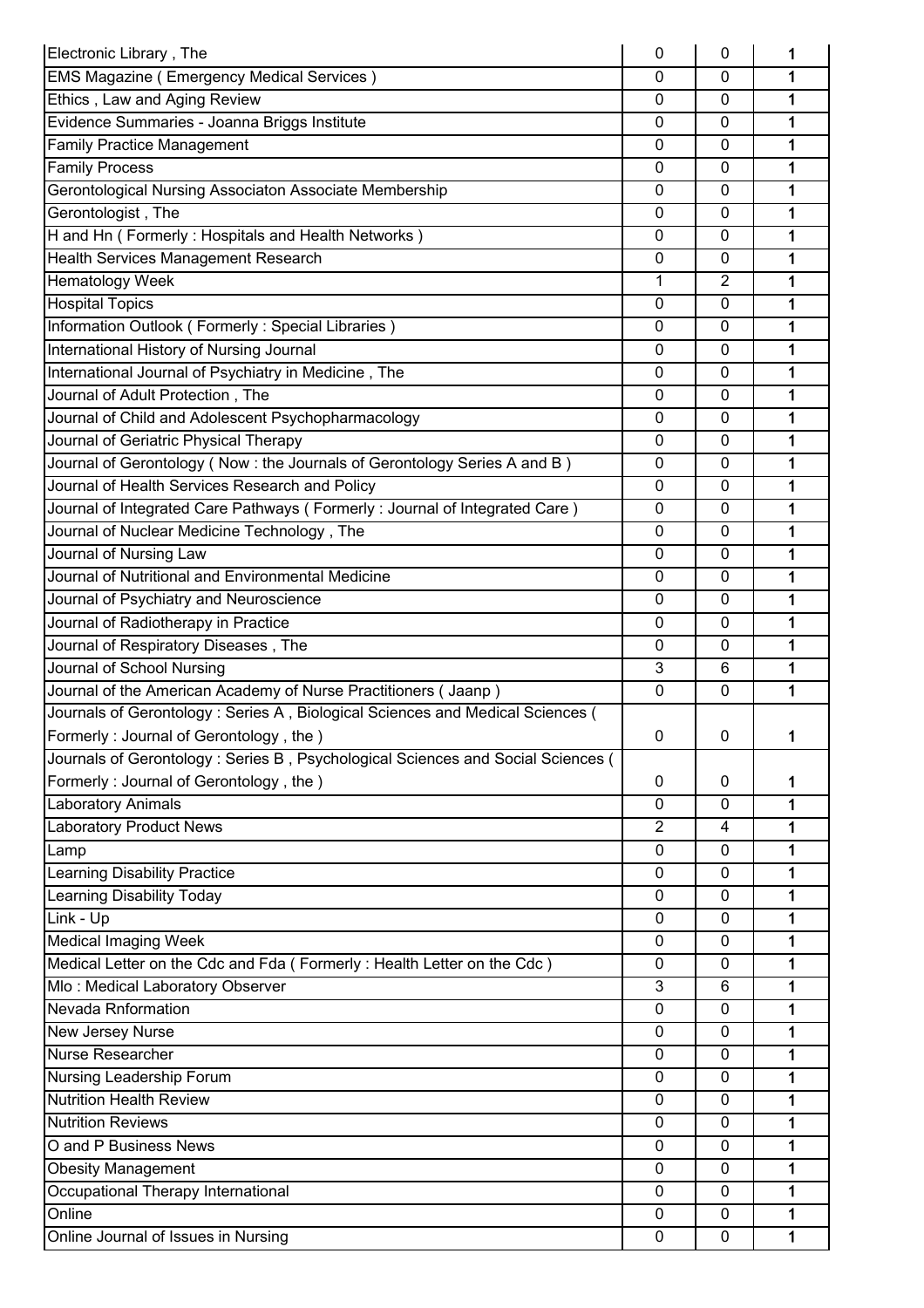| Electronic Library, The                                                         | 0              | 0              | 1 |
|---------------------------------------------------------------------------------|----------------|----------------|---|
| <b>EMS Magazine (Emergency Medical Services)</b>                                | 0              | $\mathbf 0$    | 1 |
| Ethics, Law and Aging Review                                                    | 0              | $\mathbf{0}$   | 1 |
| Evidence Summaries - Joanna Briggs Institute                                    | $\mathbf{0}$   | $\Omega$       | 1 |
| <b>Family Practice Management</b>                                               | 0              | $\mathbf{0}$   | 1 |
| <b>Family Process</b>                                                           | 0              | $\mathbf{0}$   | 1 |
| Gerontological Nursing Associaton Associate Membership                          | $\mathbf 0$    | $\mathbf{0}$   | 1 |
| Gerontologist, The                                                              | 0              | 0              | 1 |
| H and Hn (Formerly: Hospitals and Health Networks)                              | 0              | 0              | 1 |
| Health Services Management Research                                             | 0              | 0              | 1 |
| Hematology Week                                                                 | 1              | $\overline{2}$ | 1 |
| <b>Hospital Topics</b>                                                          | 0              | $\mathbf{0}$   | 1 |
| Information Outlook (Formerly: Special Libraries)                               | 0              | $\mathbf{0}$   | 1 |
| International History of Nursing Journal                                        | $\mathbf{0}$   | $\mathbf{0}$   | 1 |
| International Journal of Psychiatry in Medicine, The                            | $\mathbf{0}$   | $\mathbf{0}$   | 1 |
| Journal of Adult Protection, The                                                | 0              | 0              | 1 |
| Journal of Child and Adolescent Psychopharmacology                              | 0              | 0              | 1 |
| Journal of Geriatric Physical Therapy                                           | 0              | 0              | 1 |
| Journal of Gerontology (Now: the Journals of Gerontology Series A and B)        | 0              | 0              | 1 |
| Journal of Health Services Research and Policy                                  | $\mathbf{0}$   | $\mathbf{0}$   | 1 |
| Journal of Integrated Care Pathways (Formerly: Journal of Integrated Care)      | 0              | 0              | 1 |
| Journal of Nuclear Medicine Technology, The                                     | 0              | $\mathbf{0}$   | 1 |
| Journal of Nursing Law                                                          | 0              | $\mathbf{0}$   | 1 |
| Journal of Nutritional and Environmental Medicine                               | 0              | $\mathbf{0}$   | 1 |
| Journal of Psychiatry and Neuroscience                                          | 0              | 0              | 1 |
| Journal of Radiotherapy in Practice                                             | 0              | 0              | 1 |
| Journal of Respiratory Diseases, The                                            | 0              | $\mathbf{0}$   | 1 |
| Journal of School Nursing                                                       | 3              | 6              | 1 |
| Journal of the American Academy of Nurse Practitioners (Jaanp)                  | $\mathbf{0}$   | $\mathbf{0}$   | 1 |
| Journals of Gerontology: Series A, Biological Sciences and Medical Sciences (   |                |                |   |
| Formerly: Journal of Gerontology, the)                                          | 0              | 0              | 1 |
| Journals of Gerontology: Series B, Psychological Sciences and Social Sciences ( |                |                |   |
| Formerly: Journal of Gerontology, the)                                          | 0              | 0              | 1 |
| <b>Laboratory Animals</b>                                                       | $\mathbf{0}$   | $\mathbf 0$    | 1 |
| <b>Laboratory Product News</b>                                                  | $\overline{2}$ | 4              | 1 |
|                                                                                 | 0              | $\mathbf 0$    | 1 |
| Lamp<br><b>Learning Disability Practice</b>                                     | 0              | $\mathbf{0}$   | 1 |
| <b>Learning Disability Today</b>                                                | $\mathbf{0}$   | $\Omega$       | 1 |
| Link - Up                                                                       | 0              | $\mathbf{0}$   | 1 |
| <b>Medical Imaging Week</b>                                                     |                | $\mathbf{0}$   | 1 |
|                                                                                 | 0              | $\mathbf{0}$   |   |
| Medical Letter on the Cdc and Fda (Formerly: Health Letter on the Cdc)          | 0              |                | 1 |
| Mlo: Medical Laboratory Observer                                                | 3              | 6              | 1 |
| <b>Nevada Rnformation</b>                                                       | 0              | $\mathbf 0$    | 1 |
| New Jersey Nurse                                                                | 0              | 0              | 1 |
| Nurse Researcher                                                                | 0              | $\Omega$       | 1 |
| Nursing Leadership Forum                                                        | 0              | 0              | 1 |
| <b>Nutrition Health Review</b>                                                  | $\mathbf{0}$   | $\mathbf 0$    | 1 |
| <b>Nutrition Reviews</b>                                                        | 0              | 0              | 1 |
| O and P Business News                                                           | 0              | $\mathbf{0}$   | 1 |
| <b>Obesity Management</b>                                                       | $\mathbf{0}$   | $\mathbf{0}$   | 1 |
| Occupational Therapy International<br>Online                                    | 0              | 0              | 1 |
|                                                                                 | 0              | $\mathbf 0$    | 1 |
| Online Journal of Issues in Nursing                                             | 0              | 0              | 1 |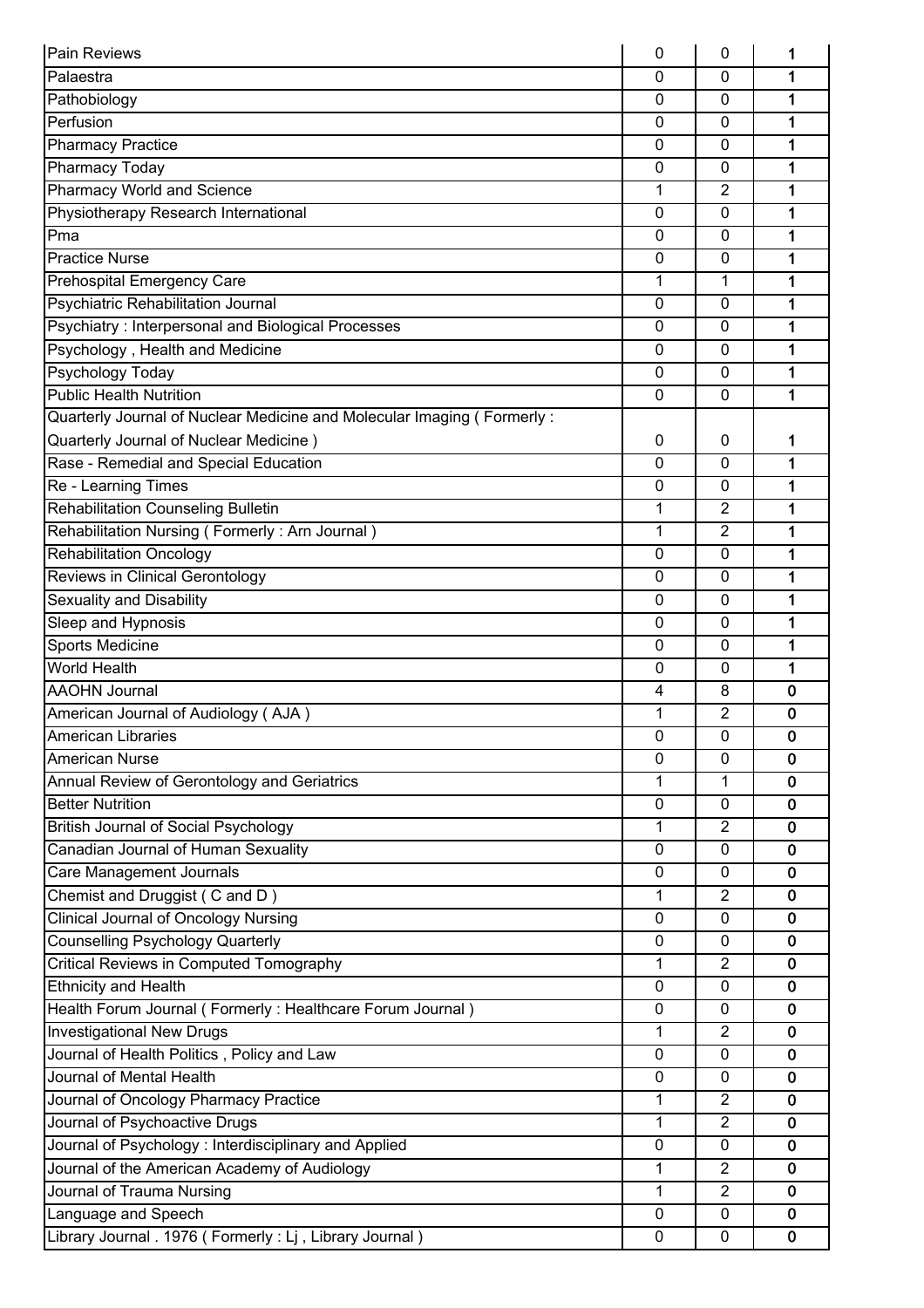| Pain Reviews                                                           | 0            | 0              | 1           |
|------------------------------------------------------------------------|--------------|----------------|-------------|
| Palaestra                                                              | 0            | 0              | 1           |
| Pathobiology                                                           | 0            | 0              | 1           |
| Perfusion                                                              | 0            | $\Omega$       | 1           |
| <b>Pharmacy Practice</b>                                               | 0            | 0              | 1           |
| <b>Pharmacy Today</b>                                                  | $\mathbf{0}$ | $\mathbf{0}$   | 1           |
| <b>Pharmacy World and Science</b>                                      | 1            | 2              | 1           |
| Physiotherapy Research International                                   | 0            | $\mathbf{0}$   | 1           |
| Pma                                                                    | 0            | $\mathbf 0$    | 1           |
| <b>Practice Nurse</b>                                                  | 0            | $\mathbf{0}$   | 1           |
| <b>Prehospital Emergency Care</b>                                      | 1            | 1              | 1           |
| Psychiatric Rehabilitation Journal                                     | 0            | $\mathbf{0}$   | 1           |
| Psychiatry: Interpersonal and Biological Processes                     | $\mathbf{0}$ | $\mathbf 0$    | 1           |
| Psychology, Health and Medicine                                        | 0            | $\mathbf 0$    | 1           |
| <b>Psychology Today</b>                                                | $\mathbf 0$  | $\mathbf 0$    | 1           |
| <b>Public Health Nutrition</b>                                         | $\mathbf{0}$ | $\mathbf{0}$   | 1           |
| Quarterly Journal of Nuclear Medicine and Molecular Imaging (Formerly: |              |                |             |
| Quarterly Journal of Nuclear Medicine)                                 | 0            | 0              | 1           |
| Rase - Remedial and Special Education                                  | 0            | 0              | 1           |
| Re - Learning Times                                                    | 0            | 0              | 1           |
| Rehabilitation Counseling Bulletin                                     | 1            | 2              | 1           |
| Rehabilitation Nursing (Formerly: Arn Journal)                         | 1            | $\overline{2}$ | 1           |
| <b>Rehabilitation Oncology</b>                                         | 0            | 0              | 1           |
| Reviews in Clinical Gerontology                                        | $\mathbf{0}$ | $\mathbf{0}$   | 1           |
| <b>Sexuality and Disability</b>                                        | 0            | $\mathbf{0}$   | 1           |
| Sleep and Hypnosis                                                     | 0            | 0              | 1           |
| <b>Sports Medicine</b>                                                 | 0            | $\mathbf 0$    | 1           |
| <b>World Health</b>                                                    | 0            | 0              | 1           |
| <b>AAOHN Journal</b>                                                   | 4            | 8              | 0           |
| American Journal of Audiology (AJA)                                    | 1            | 2              | 0           |
| American Libraries                                                     | $\pmb{0}$    | 0              | 0           |
| <b>American Nurse</b>                                                  | $\mathbf 0$  | $\mathbf 0$    | $\mathbf 0$ |
| Annual Review of Gerontology and Geriatrics                            | 1            | $\mathbf{1}$   | $\bf{0}$    |
| <b>Better Nutrition</b>                                                | 0            | $\mathbf{0}$   | $\bf{0}$    |
| <b>British Journal of Social Psychology</b>                            | 1            | 2              | 0           |
| Canadian Journal of Human Sexuality                                    | 0            | $\mathbf 0$    | $\mathbf 0$ |
| Care Management Journals                                               | $\mathbf 0$  | 0              | $\mathbf 0$ |
| Chemist and Druggist (C and D)                                         | 1            | $\overline{2}$ | $\mathbf 0$ |
| <b>Clinical Journal of Oncology Nursing</b>                            | 0            | 0              | $\bf{0}$    |
| <b>Counselling Psychology Quarterly</b>                                | 0            | $\mathbf{0}$   | $\mathbf 0$ |
| <b>Critical Reviews in Computed Tomography</b>                         | 1            | 2              | $\mathbf 0$ |
| <b>Ethnicity and Health</b>                                            | 0            | 0              | $\mathbf 0$ |
| Health Forum Journal (Formerly: Healthcare Forum Journal)              | 0            | $\mathbf 0$    | $\mathbf 0$ |
| <b>Investigational New Drugs</b>                                       | 1            | 2              | $\mathbf 0$ |
| Journal of Health Politics, Policy and Law                             | $\mathbf{0}$ | $\mathbf 0$    | $\mathbf 0$ |
| Journal of Mental Health                                               | 0            | 0              | $\mathbf 0$ |
| Journal of Oncology Pharmacy Practice                                  | 1            | $\overline{2}$ | $\mathbf 0$ |
| Journal of Psychoactive Drugs                                          | 1            | 2              | $\mathbf 0$ |
| Journal of Psychology: Interdisciplinary and Applied                   | 0            | 0              | $\mathbf 0$ |
| Journal of the American Academy of Audiology                           | 1            | 2              | $\bf{0}$    |
| Journal of Trauma Nursing                                              | $\mathbf{1}$ | $\overline{2}$ | $\bf{0}$    |
| Language and Speech                                                    | 0            | $\mathbf 0$    | $\mathbf 0$ |
| Library Journal . 1976 (Formerly : Lj, Library Journal)                | $\mathbf 0$  | 0              | $\mathbf 0$ |